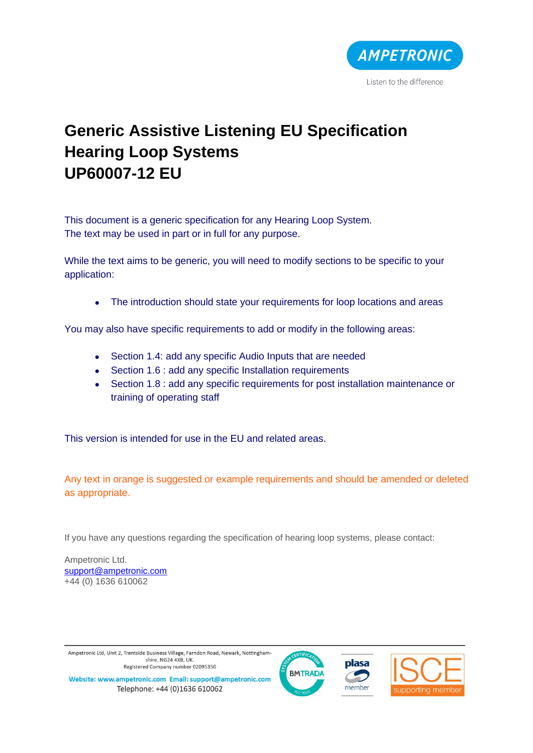

# **Generic Assistive Listening EU Specification Hearing Loop Systems UP60007-12 EU**

This document is a generic specification for any Hearing Loop System. The text may be used in part or in full for any purpose.

While the text aims to be generic, you will need to modify sections to be specific to your application:

• The introduction should state your requirements for loop locations and areas

You may also have specific requirements to add or modify in the following areas:

- Section 1.4: add any specific Audio Inputs that are needed
- Section 1.6 : add any specific Installation requirements
- Section 1.8 : add any specific requirements for post installation maintenance or training of operating staff

This version is intended for use in the EU and related areas.

Any text in orange is suggested or example requirements and should be amended or deleted as appropriate.

If you have any questions regarding the specification of hearing loop systems, please contact:

Ampetronic Ltd. [support@ampetronic.com](mailto:support@ampetronic.com) +44 (0) 1636 610062

Ampetronic Ltd, Unit 2, Trentside Business Village, Farndon Road, Newark, Nottinghamshire, NG24 4XB, UK. Registered Company number 02095350







Website: www.ampetronic.com Email: support@ampetronic.com Telephone: +44 (0)1636 610062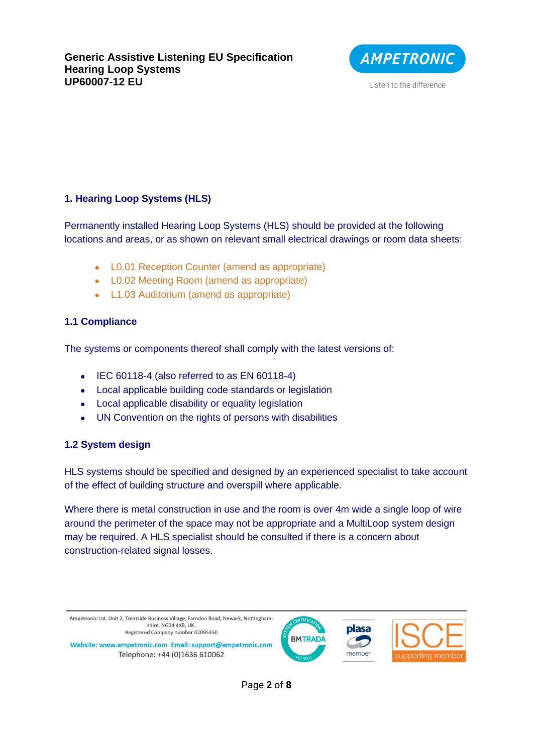

# **1. Hearing Loop Systems (HLS)**

Permanently installed Hearing Loop Systems (HLS) should be provided at the following locations and areas, or as shown on relevant small electrical drawings or room data sheets:

- L0.01 Reception Counter (amend as appropriate)
- L0.02 Meeting Room (amend as appropriate)
- L1.03 Auditorium (amend as appropriate)

## **1.1 Compliance**

The systems or components thereof shall comply with the latest versions of:

- IEC 60118-4 (also referred to as EN 60118-4)
- Local applicable building code standards or legislation
- Local applicable disability or equality legislation
- UN Convention on the rights of persons with disabilities

## **1.2 System design**

HLS systems should be specified and designed by an experienced specialist to take account of the effect of building structure and overspill where applicable.

Where there is metal construction in use and the room is over 4m wide a single loop of wire around the perimeter of the space may not be appropriate and a MultiLoop system design may be required. A HLS specialist should be consulted if there is a concern about construction-related signal losses.

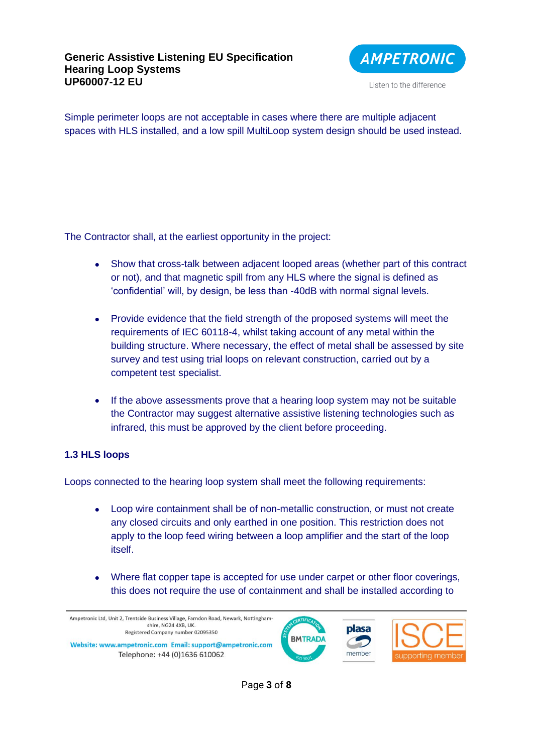#### **Generic Assistive Listening EU Specification Hearing Loop Systems UP60007-12 EU**



Listen to the difference

Simple perimeter loops are not acceptable in cases where there are multiple adjacent spaces with HLS installed, and a low spill MultiLoop system design should be used instead.

The Contractor shall, at the earliest opportunity in the project:

- Show that cross-talk between adjacent looped areas (whether part of this contract or not), and that magnetic spill from any HLS where the signal is defined as 'confidential' will, by design, be less than -40dB with normal signal levels.
- Provide evidence that the field strength of the proposed systems will meet the requirements of IEC 60118-4, whilst taking account of any metal within the building structure. Where necessary, the effect of metal shall be assessed by site survey and test using trial loops on relevant construction, carried out by a competent test specialist.
- If the above assessments prove that a hearing loop system may not be suitable the Contractor may suggest alternative assistive listening technologies such as infrared, this must be approved by the client before proceeding.

## **1.3 HLS loops**

Loops connected to the hearing loop system shall meet the following requirements:

- Loop wire containment shall be of non-metallic construction, or must not create any closed circuits and only earthed in one position. This restriction does not apply to the loop feed wiring between a loop amplifier and the start of the loop itself.
- Where flat copper tape is accepted for use under carpet or other floor coverings, this does not require the use of containment and shall be installed according to

Ampetronic Ltd, Unit 2, Trentside Business Village, Farndon Road, Newark, Nottinghamshire, NG24 4XB, UK Registered Company number 02095350 Website: www.ampetronic.com Email: support@ampetronic.com

Telephone: +44 (0)1636 610062





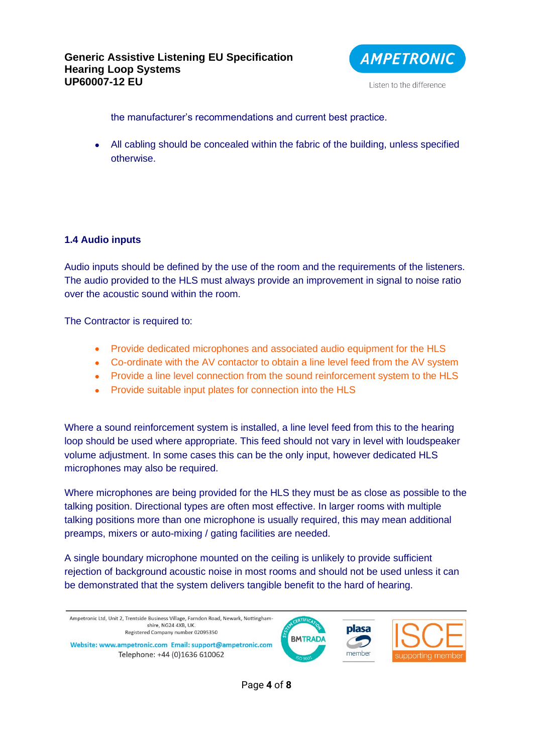

Listen to the difference

the manufacturer's recommendations and current best practice.

• All cabling should be concealed within the fabric of the building, unless specified otherwise.

#### **1.4 Audio inputs**

Audio inputs should be defined by the use of the room and the requirements of the listeners. The audio provided to the HLS must always provide an improvement in signal to noise ratio over the acoustic sound within the room.

The Contractor is required to:

- Provide dedicated microphones and associated audio equipment for the HLS
- Co-ordinate with the AV contactor to obtain a line level feed from the AV system
- Provide a line level connection from the sound reinforcement system to the HLS
- Provide suitable input plates for connection into the HLS

Where a sound reinforcement system is installed, a line level feed from this to the hearing loop should be used where appropriate. This feed should not vary in level with loudspeaker volume adjustment. In some cases this can be the only input, however dedicated HLS microphones may also be required.

Where microphones are being provided for the HLS they must be as close as possible to the talking position. Directional types are often most effective. In larger rooms with multiple talking positions more than one microphone is usually required, this may mean additional preamps, mixers or auto-mixing / gating facilities are needed.

A single boundary microphone mounted on the ceiling is unlikely to provide sufficient rejection of background acoustic noise in most rooms and should not be used unless it can be demonstrated that the system delivers tangible benefit to the hard of hearing.

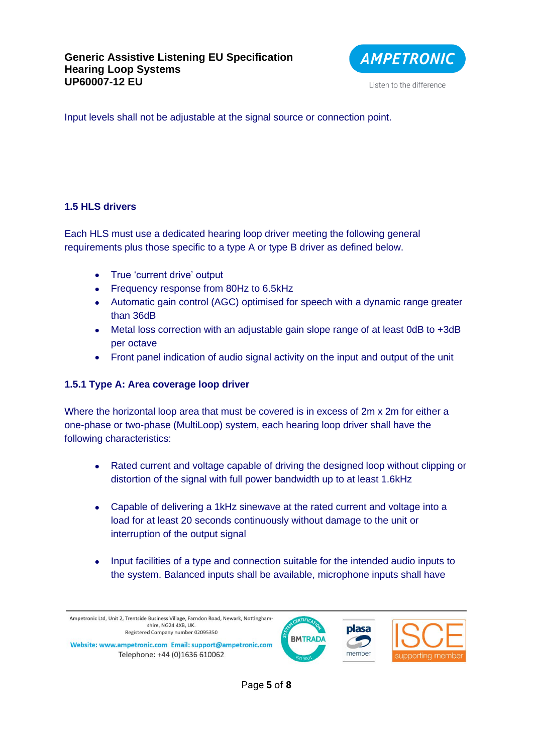

Listen to the difference

Input levels shall not be adjustable at the signal source or connection point.

## **1.5 HLS drivers**

Each HLS must use a dedicated hearing loop driver meeting the following general requirements plus those specific to a type A or type B driver as defined below.

- True 'current drive' output
- Frequency response from 80Hz to 6.5kHz
- Automatic gain control (AGC) optimised for speech with a dynamic range greater than 36dB
- Metal loss correction with an adjustable gain slope range of at least 0dB to +3dB per octave
- Front panel indication of audio signal activity on the input and output of the unit

## **1.5.1 Type A: Area coverage loop driver**

Where the horizontal loop area that must be covered is in excess of 2m x 2m for either a one-phase or two-phase (MultiLoop) system, each hearing loop driver shall have the following characteristics:

- Rated current and voltage capable of driving the designed loop without clipping or distortion of the signal with full power bandwidth up to at least 1.6kHz
- Capable of delivering a 1kHz sinewave at the rated current and voltage into a load for at least 20 seconds continuously without damage to the unit or interruption of the output signal
- Input facilities of a type and connection suitable for the intended audio inputs to the system. Balanced inputs shall be available, microphone inputs shall have

Ampetronic Ltd, Unit 2, Trentside Business Village, Farndon Road, Newark, Nottinghamshire, NG24 4XB, UK. Registered Company number 02095350 Website: www.ampetronic.com Email: support@ampetronic.com

Telephone: +44 (0)1636 610062



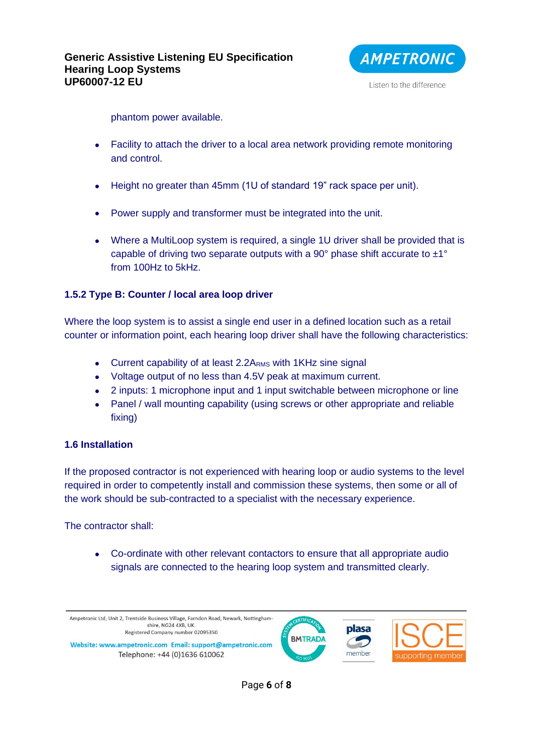

Listen to the difference

phantom power available.

- Facility to attach the driver to a local area network providing remote monitoring and control.
- Height no greater than 45mm (1U of standard 19" rack space per unit).
- Power supply and transformer must be integrated into the unit.
- Where a MultiLoop system is required, a single 1U driver shall be provided that is capable of driving two separate outputs with a 90 $^{\circ}$  phase shift accurate to  $\pm$ 1 $^{\circ}$ from 100Hz to 5kHz.

#### **1.5.2 Type B: Counter / local area loop driver**

Where the loop system is to assist a single end user in a defined location such as a retail counter or information point, each hearing loop driver shall have the following characteristics:

- Current capability of at least 2.2A<sub>RMS</sub> with 1KHz sine signal
- Voltage output of no less than 4.5V peak at maximum current.
- 2 inputs: 1 microphone input and 1 input switchable between microphone or line
- Panel / wall mounting capability (using screws or other appropriate and reliable fixing)

#### **1.6 Installation**

If the proposed contractor is not experienced with hearing loop or audio systems to the level required in order to competently install and commission these systems, then some or all of the work should be sub-contracted to a specialist with the necessary experience.

The contractor shall:

• Co-ordinate with other relevant contactors to ensure that all appropriate audio signals are connected to the hearing loop system and transmitted clearly.

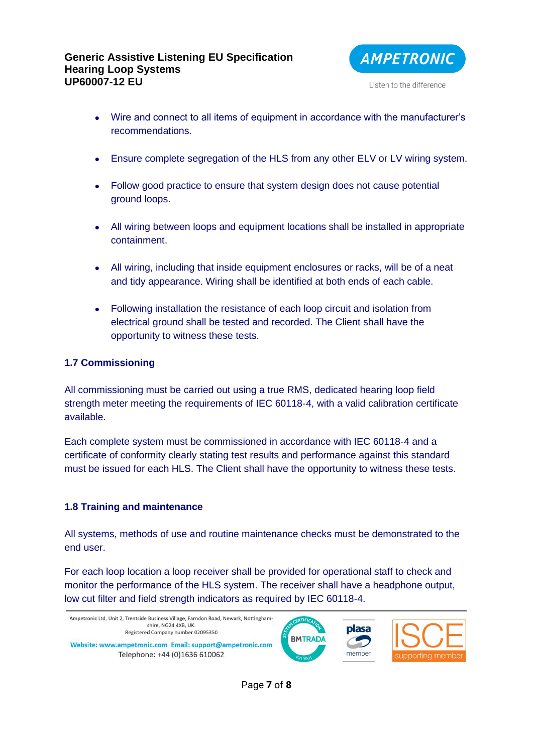

- Wire and connect to all items of equipment in accordance with the manufacturer's recommendations.
- Ensure complete segregation of the HLS from any other ELV or LV wiring system.
- Follow good practice to ensure that system design does not cause potential ground loops.
- All wiring between loops and equipment locations shall be installed in appropriate containment.
- All wiring, including that inside equipment enclosures or racks, will be of a neat and tidy appearance. Wiring shall be identified at both ends of each cable.
- Following installation the resistance of each loop circuit and isolation from electrical ground shall be tested and recorded. The Client shall have the opportunity to witness these tests.

# **1.7 Commissioning**

All commissioning must be carried out using a true RMS, dedicated hearing loop field strength meter meeting the requirements of IEC 60118-4, with a valid calibration certificate available.

Each complete system must be commissioned in accordance with IEC 60118-4 and a certificate of conformity clearly stating test results and performance against this standard must be issued for each HLS. The Client shall have the opportunity to witness these tests.

## **1.8 Training and maintenance**

All systems, methods of use and routine maintenance checks must be demonstrated to the end user.

For each loop location a loop receiver shall be provided for operational staff to check and monitor the performance of the HLS system. The receiver shall have a headphone output, low cut filter and field strength indicators as required by IEC 60118-4.



Page **7** of **8**